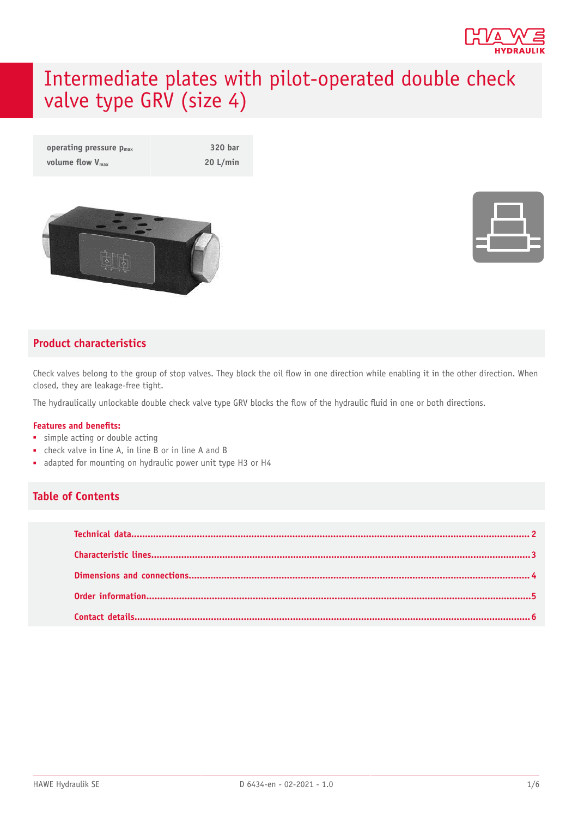

# Intermediate plates with pilot-operated double check valve type GRV (size 4)

| operating pressure $p_{max}$ | 320 bar  |
|------------------------------|----------|
| volume flow $V_{\text{max}}$ | 20 L/min |





#### **Product characteristics**

Check valves belong to the group of stop valves. They block the oil flow in one direction while enabling it in the other direction. When closed, they are leakage-free tight.

The hydraulically unlockable double check valve type GRV blocks the flow of the hydraulic fluid in one or both directions.

#### **Features and benets:**

- simple acting or double acting
- check valve in line A, in line B or in line A and B
- adapted for mounting on hydraulic power unit type H3 or H4

#### **Table of Contents**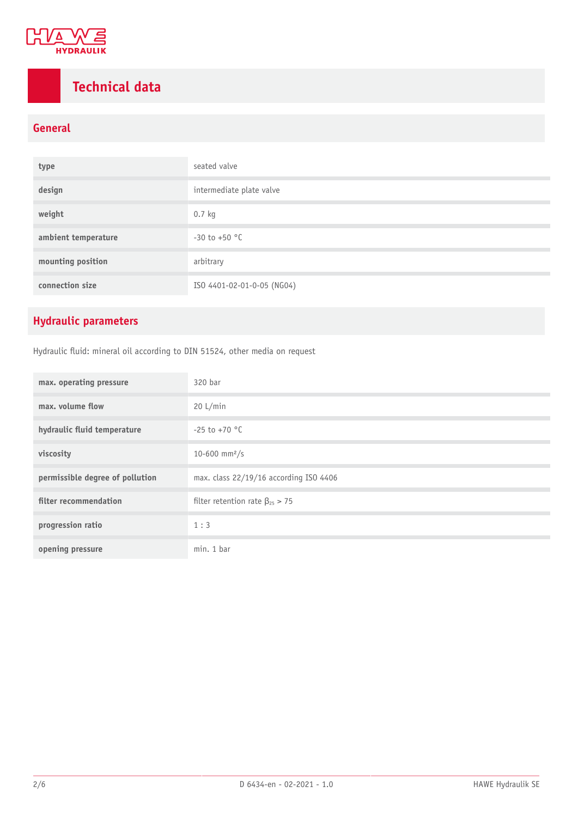

# <span id="page-1-0"></span>**Technical data**

#### **General**

| type                | seated valve               |
|---------------------|----------------------------|
| design              | intermediate plate valve   |
| weight              | $0.7$ kg                   |
| ambient temperature | $-30$ to $+50$ °C          |
| mounting position   | arbitrary                  |
| connection size     | ISO 4401-02-01-0-05 (NG04) |

### **Hydraulic parameters**

Hydraulic fluid: mineral oil according to DIN 51524, other media on request

| max. operating pressure         | 320 bar                                 |
|---------------------------------|-----------------------------------------|
| max, volume flow                | 20 L/min                                |
| hydraulic fluid temperature     | $-25$ to $+70$ °C                       |
| viscosity                       | 10-600 mm <sup>2</sup> /s               |
| permissible degree of pollution | max. class 22/19/16 according ISO 4406  |
| filter recommendation           | filter retention rate $\beta_{25} > 75$ |
| progression ratio               | 1:3                                     |
| opening pressure                | min. 1 bar                              |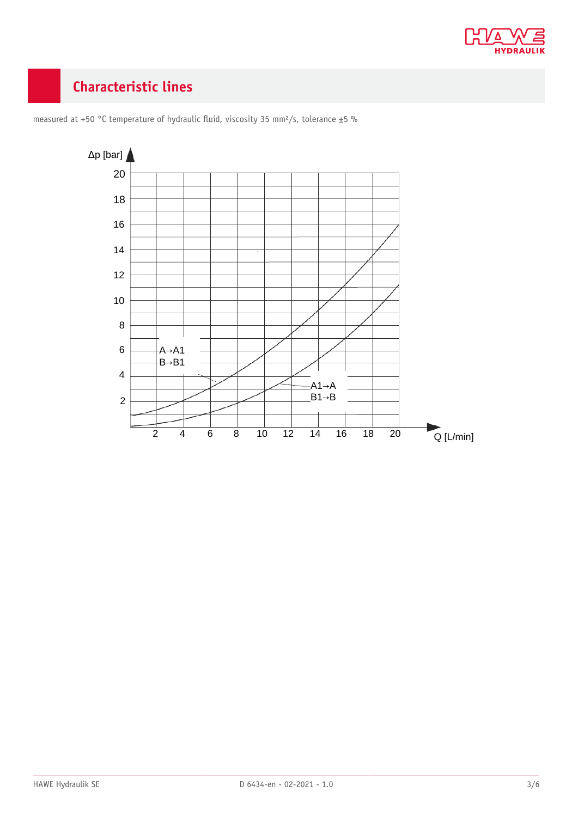

### <span id="page-2-0"></span>**Characteristic lines**



measured at +50 °C temperature of hydraulic fluid, viscosity 35 mm<sup>2</sup>/s, tolerance ±5 %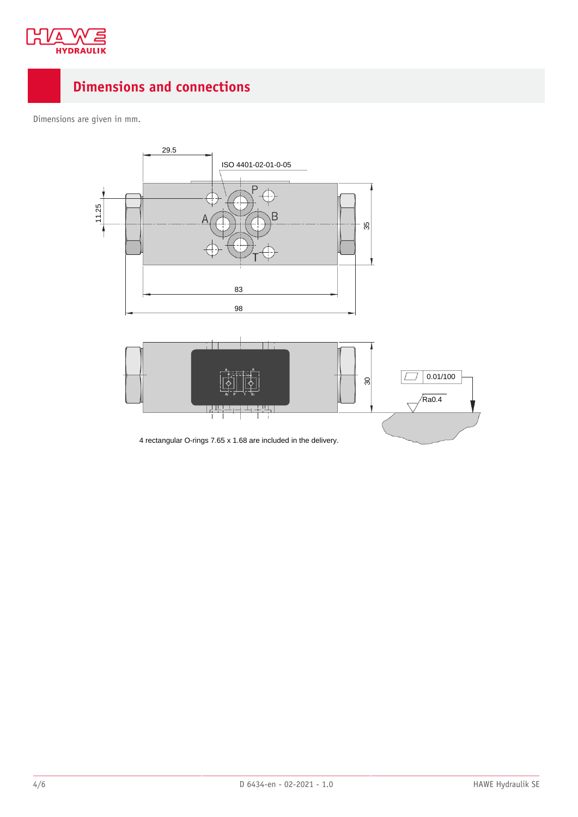

### <span id="page-3-0"></span>**Dimensions and connections**

Dimensions are given in mm.





4 rectangular O-rings 7.65 x 1.68 are included in the delivery.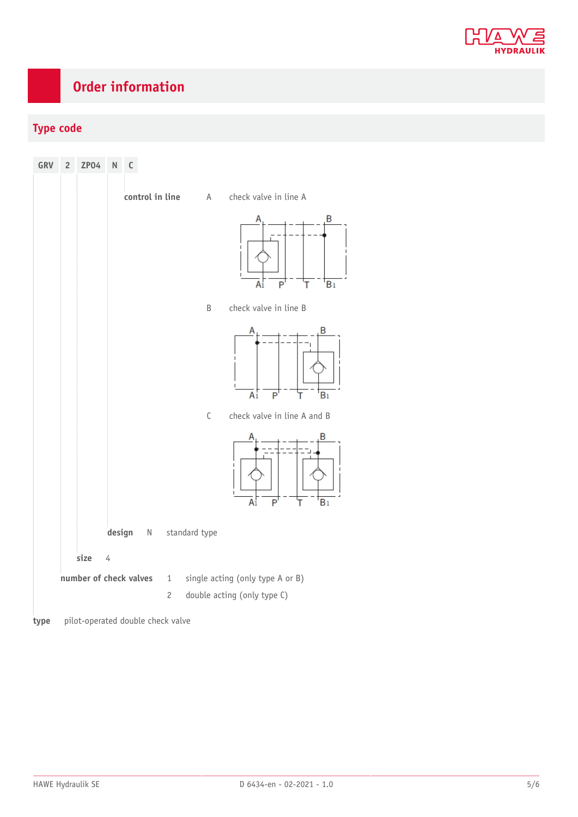

# <span id="page-4-0"></span>**Order information**

#### **Type code**